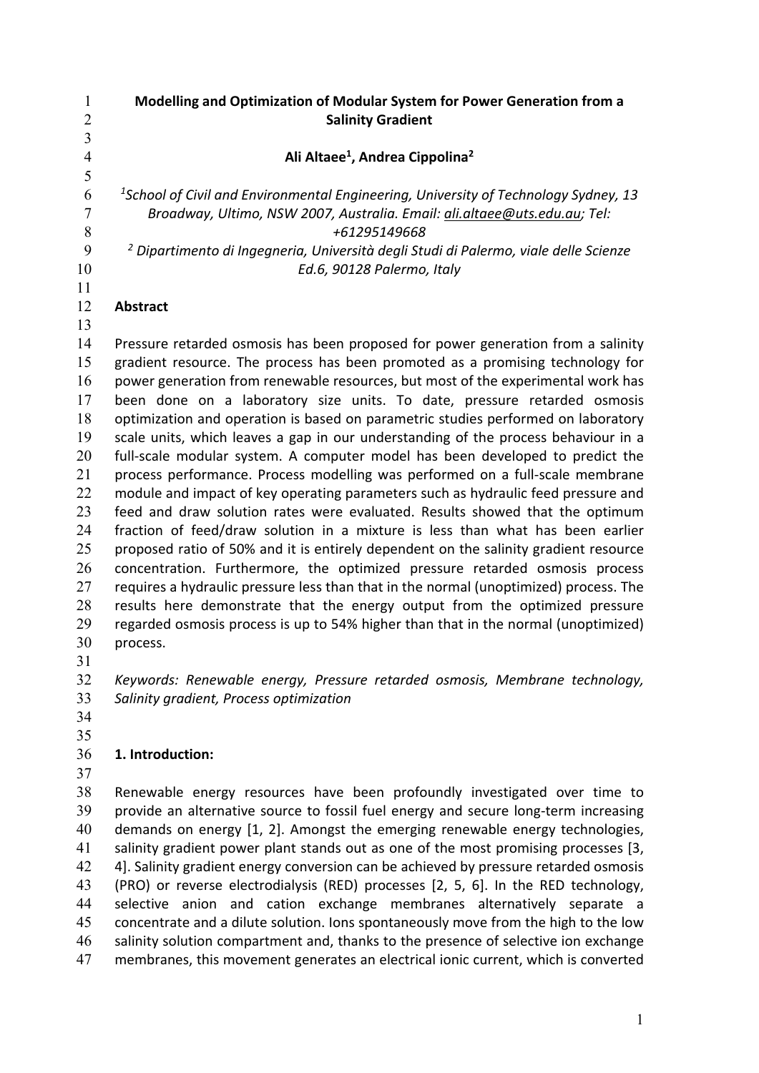**Modelling and Optimization of Modular System for Power Generation from a Salinity Gradient Ali Altaee1, Andrea Cippolina2**  *<sup>1</sup> School of Civil and Environmental Engineering, University of Technology Sydney, 13 Broadway, Ultimo, NSW 2007, Australia. Email: ali.altaee@uts.edu.au; Tel: +61295149668 <sup>2</sup> Dipartimento di Ingegneria, Università degli Studi di Palermo, viale delle Scienze Ed.6, 90128 Palermo, Italy*  **Abstract**  Pressure retarded osmosis has been proposed for power generation from a salinity gradient resource. The process has been promoted as a promising technology for power generation from renewable resources, but most of the experimental work has been done on a laboratory size units. To date, pressure retarded osmosis optimization and operation is based on parametric studies performed on laboratory scale units, which leaves a gap in our understanding of the process behaviour in a 20 full-scale modular system. A computer model has been developed to predict the 21 process performance. Process modelling was performed on a full-scale membrane module and impact of key operating parameters such as hydraulic feed pressure and feed and draw solution rates were evaluated. Results showed that the optimum 24 fraction of feed/draw solution in a mixture is less than what has been earlier 25 proposed ratio of 50% and it is entirely dependent on the salinity gradient resource concentration. Furthermore, the optimized pressure retarded osmosis process 27 requires a hydraulic pressure less than that in the normal (unoptimized) process. The 28 results here demonstrate that the energy output from the optimized pressure regarded osmosis process is up to 54% higher than that in the normal (unoptimized) process. *Keywords: Renewable energy, Pressure retarded osmosis, Membrane technology, Salinity gradient, Process optimization*  **1. Introduction:**  Renewable energy resources have been profoundly investigated over time to 39 provide an alternative source to fossil fuel energy and secure long-term increasing

40 demands on energy [1, 2]. Amongst the emerging renewable energy technologies, salinity gradient power plant stands out as one of the most promising processes [3, 42 4]. Salinity gradient energy conversion can be achieved by pressure retarded osmosis (PRO) or reverse electrodialysis (RED) processes [2, 5, 6]. In the RED technology, selective anion and cation exchange membranes alternatively separate a concentrate and a dilute solution. Ions spontaneously move from the high to the low salinity solution compartment and, thanks to the presence of selective ion exchange membranes, this movement generates an electrical ionic current, which is converted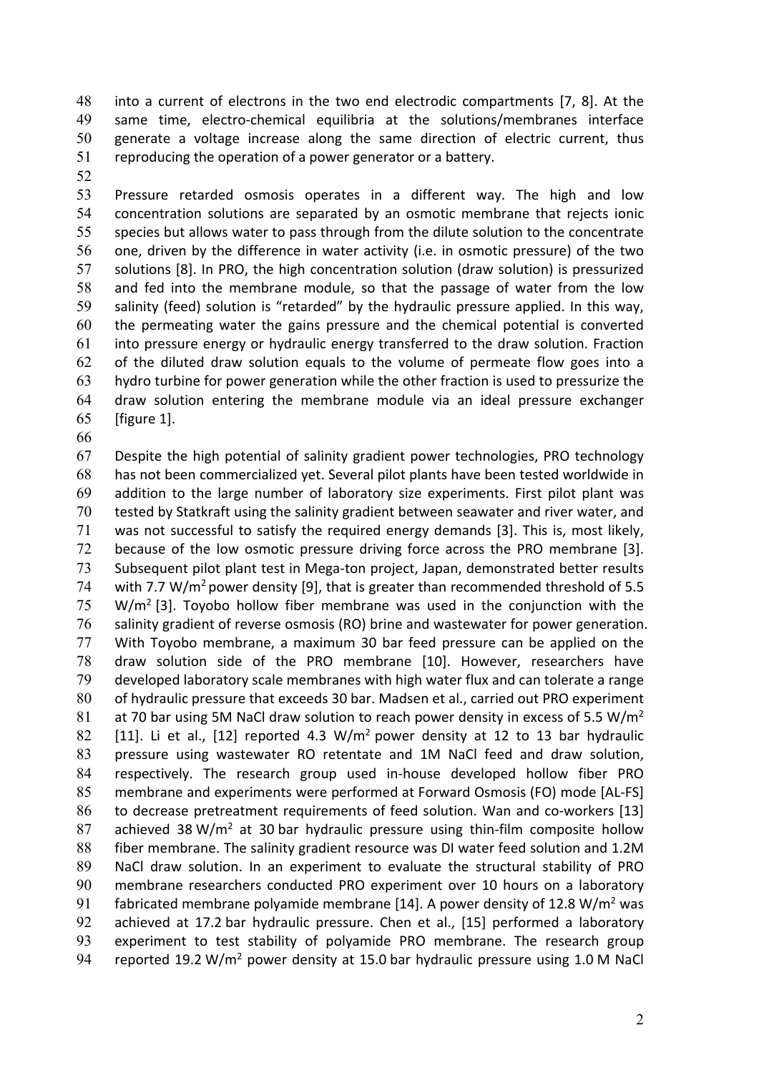48 into a current of electrons in the two end electrodic compartments [7, 8]. At the 49 same time, electro-chemical equilibria at the solutions/membranes interface generate a voltage increase along the same direction of electric current, thus reproducing the operation of a power generator or a battery.

Pressure retarded osmosis operates in a different way. The high and low concentration solutions are separated by an osmotic membrane that rejects ionic species but allows water to pass through from the dilute solution to the concentrate one, driven by the difference in water activity (i.e. in osmotic pressure) of the two solutions [8]. In PRO, the high concentration solution (draw solution) is pressurized and fed into the membrane module, so that the passage of water from the low salinity (feed) solution is "retarded" by the hydraulic pressure applied. In this way, the permeating water the gains pressure and the chemical potential is converted into pressure energy or hydraulic energy transferred to the draw solution. Fraction of the diluted draw solution equals to the volume of permeate flow goes into a hydro turbine for power generation while the other fraction is used to pressurize the draw solution entering the membrane module via an ideal pressure exchanger [figure 1].

Despite the high potential of salinity gradient power technologies, PRO technology has not been commercialized yet. Several pilot plants have been tested worldwide in addition to the large number of laboratory size experiments. First pilot plant was tested by Statkraft using the salinity gradient between seawater and river water, and was not successful to satisfy the required energy demands [3]. This is, most likely, 72 because of the low osmotic pressure driving force across the PRO membrane [3]. Subsequent pilot plant test in Mega‐ton project, Japan, demonstrated better results 74 with 7.7 W/m<sup>2</sup> power density [9], that is greater than recommended threshold of 5.5  $75 \text{ W/m}^2$  [3]. Toyobo hollow fiber membrane was used in the conjunction with the salinity gradient of reverse osmosis (RO) brine and wastewater for power generation. With Toyobo membrane, a maximum 30 bar feed pressure can be applied on the draw solution side of the PRO membrane [10]. However, researchers have developed laboratory scale membranes with high water flux and can tolerate a range of hydraulic pressure that exceeds 30 bar. Madsen et al., carried out PRO experiment 81 at 70 bar using 5M NaCl draw solution to reach power density in excess of 5.5 W/m<sup>2</sup>  $[11]$ . Li et al.,  $[12]$  reported 4.3 W/m<sup>2</sup> power density at 12 to 13 bar hydraulic pressure using wastewater RO retentate and 1M NaCl feed and draw solution, 84 respectively. The research group used in-house developed hollow fiber PRO 85 membrane and experiments were performed at Forward Osmosis (FO) mode [AL-FS] 86 to decrease pretreatment requirements of feed solution. Wan and co-workers [13] 87 achieved  $38 \text{ W/m}^2$  at  $30 \text{ bar}$  hydraulic pressure using thin-film composite hollow fiber membrane. The salinity gradient resource was DI water feed solution and 1.2M 89 NaCl draw solution. In an experiment to evaluate the structural stability of PRO membrane researchers conducted PRO experiment over 10 hours on a laboratory 91 fabricated membrane polyamide membrane [14]. A power density of 12.8  $W/m^2$  was 92 achieved at 17.2 bar hydraulic pressure. Chen et al., [15] performed a laboratory experiment to test stability of polyamide PRO membrane. The research group 94 reported 19.2 W/m<sup>2</sup> power density at 15.0 bar hydraulic pressure using 1.0 M NaCl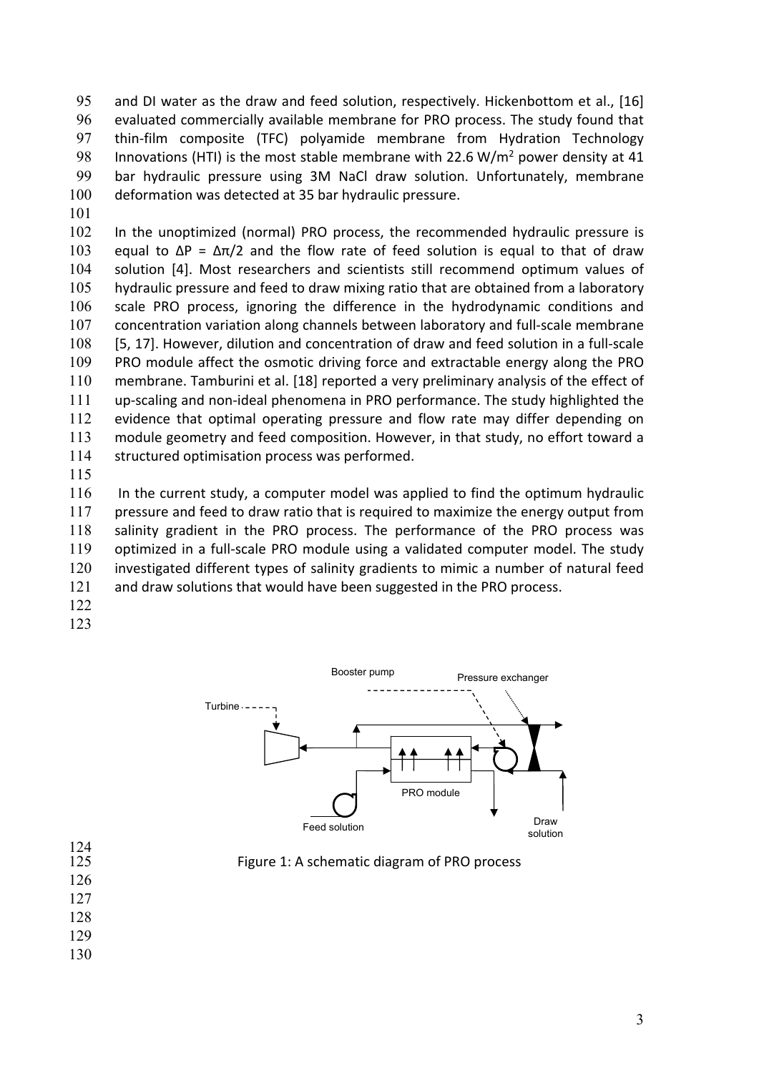and DI water as the draw and feed solution, respectively. Hickenbottom et al., [16] evaluated commercially available membrane for PRO process. The study found that thin‐film composite (TFC) polyamide membrane from Hydration Technology 98 Innovations (HTI) is the most stable membrane with 22.6 W/m<sup>2</sup> power density at 41 bar hydraulic pressure using 3M NaCl draw solution. Unfortunately, membrane deformation was detected at 35 bar hydraulic pressure.

In the unoptimized (normal) PRO process, the recommended hydraulic pressure is 103 equal to  $\Delta P = \Delta \pi/2$  and the flow rate of feed solution is equal to that of draw solution [4]. Most researchers and scientists still recommend optimum values of hydraulic pressure and feed to draw mixing ratio that are obtained from a laboratory scale PRO process, ignoring the difference in the hydrodynamic conditions and 107 concentration variation along channels between laboratory and full-scale membrane 108 [5, 17]. However, dilution and concentration of draw and feed solution in a full-scale PRO module affect the osmotic driving force and extractable energy along the PRO membrane. Tamburini et al. [18] reported a very preliminary analysis of the effect of up‐scaling and non‐ideal phenomena in PRO performance. The study highlighted the evidence that optimal operating pressure and flow rate may differ depending on module geometry and feed composition. However, in that study, no effort toward a structured optimisation process was performed.

 In the current study, a computer model was applied to find the optimum hydraulic 117 pressure and feed to draw ratio that is required to maximize the energy output from 118 salinity gradient in the PRO process. The performance of the PRO process was 119 optimized in a full-scale PRO module using a validated computer model. The study investigated different types of salinity gradients to mimic a number of natural feed 121 and draw solutions that would have been suggested in the PRO process.

- 
- 



| 125 |  | Figure 1: A schematic diagram of PRO process |
|-----|--|----------------------------------------------|
|-----|--|----------------------------------------------|

 

 $\frac{124}{125}$ 

- 
- 
-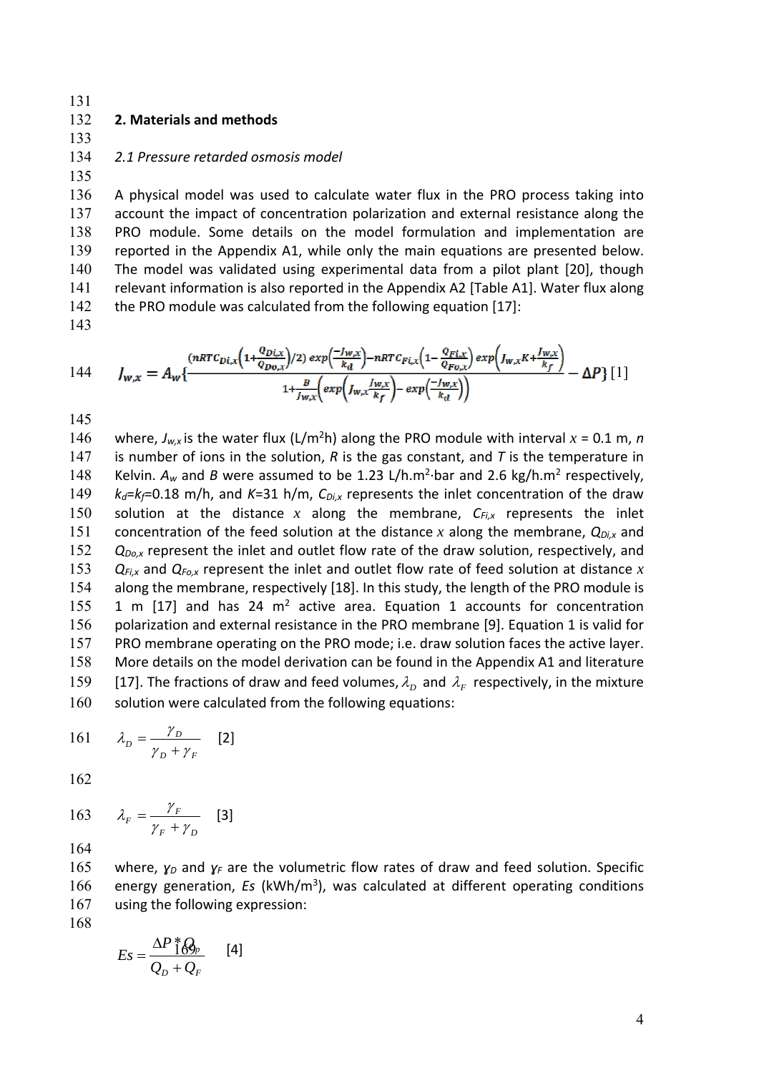#### 132 **2. Materials and methods**

133

135

#### 134 *2.1 Pressure retarded osmosis model*

A physical model was used to calculate water flux in the PRO process taking into account the impact of concentration polarization and external resistance along the PRO module. Some details on the model formulation and implementation are reported in the Appendix A1, while only the main equations are presented below. The model was validated using experimental data from a pilot plant [20], though relevant information is also reported in the Appendix A2 [Table A1]. Water flux along 142 the PRO module was calculated from the following equation [17]:

143

$$
144 \qquad J_{w,x} = A_w \left\{ \frac{\frac{(nRTC_{Di,x})}{(1 + \frac{Q_{Di,x}}{Q_{Do,x}})/2) \exp\left(\frac{-f_{w,x}}{k_d}\right) - nRTC_{Fi,x}\left(1 - \frac{Q_{Fi,x}}{Q_{Fo,x}}\right) \exp\left(J_{w,x}K + \frac{f_{w,x}}{k_f}\right)}{1 + \frac{B}{f_{w,x}}\left(\exp\left(J_{w,x}\frac{J_{w,x}}{k_f}\right) - \exp\left(\frac{-f_{w,x}}{k_d}\right)\right)} - \Delta P \right\} [1]
$$

145

146 where,  $J_{w,x}$  is the water flux (L/m<sup>2</sup>h) along the PRO module with interval  $x = 0.1$  m, *n* 147 is number of ions in the solution,  $R$  is the gas constant, and  $T$  is the temperature in 148 Kelvin. A<sub>w</sub> and *B* were assumed to be 1.23 L/h.m<sup>2</sup>⋅bar and 2.6 kg/h.m<sup>2</sup> respectively, 149  $k_d = k_f = 0.18$  m/h, and  $K = 31$  h/m,  $C_{Di,x}$  represents the inlet concentration of the draw 150 solution at the distance *x* along the membrane, *CFi,x* represents the inlet 151 concentration of the feed solution at the distance *x* along the membrane, *QDi,x* and 152 *Q<sub>Do,x</sub>* represent the inlet and outlet flow rate of the draw solution, respectively, and 153 *QFi,x* and *QFo,x* represent the inlet and outlet flow rate of feed solution at distance *x* 154 along the membrane, respectively [18]. In this study, the length of the PRO module is 155 1 m  $[17]$  and has 24 m<sup>2</sup> active area. Equation 1 accounts for concentration 156 polarization and external resistance in the PRO membrane [9]. Equation 1 is valid for 157 PRO membrane operating on the PRO mode; i.e. draw solution faces the active layer. 158 More details on the model derivation can be found in the Appendix A1 and literature 159 [17]. The fractions of draw and feed volumes,  $\lambda_D$  and  $\lambda_F$  respectively, in the mixture 160 solution were calculated from the following equations:

161 
$$
\lambda_D = \frac{\gamma_D}{\gamma_D + \gamma_F} \quad [2]
$$

162

163 
$$
\lambda_F = \frac{\gamma_F}{\gamma_F + \gamma_D} \quad [3]
$$

164

165 where,  $\gamma_D$  and  $\gamma_F$  are the volumetric flow rates of draw and feed solution. Specific 166 energy generation, *Es* (kWh/m<sup>3</sup>), was calculated at different operating conditions 167 using the following expression:

$$
Es = \frac{\Delta P \, \text{A}_{\text{D}}}{Q_D + Q_F} \qquad [4]
$$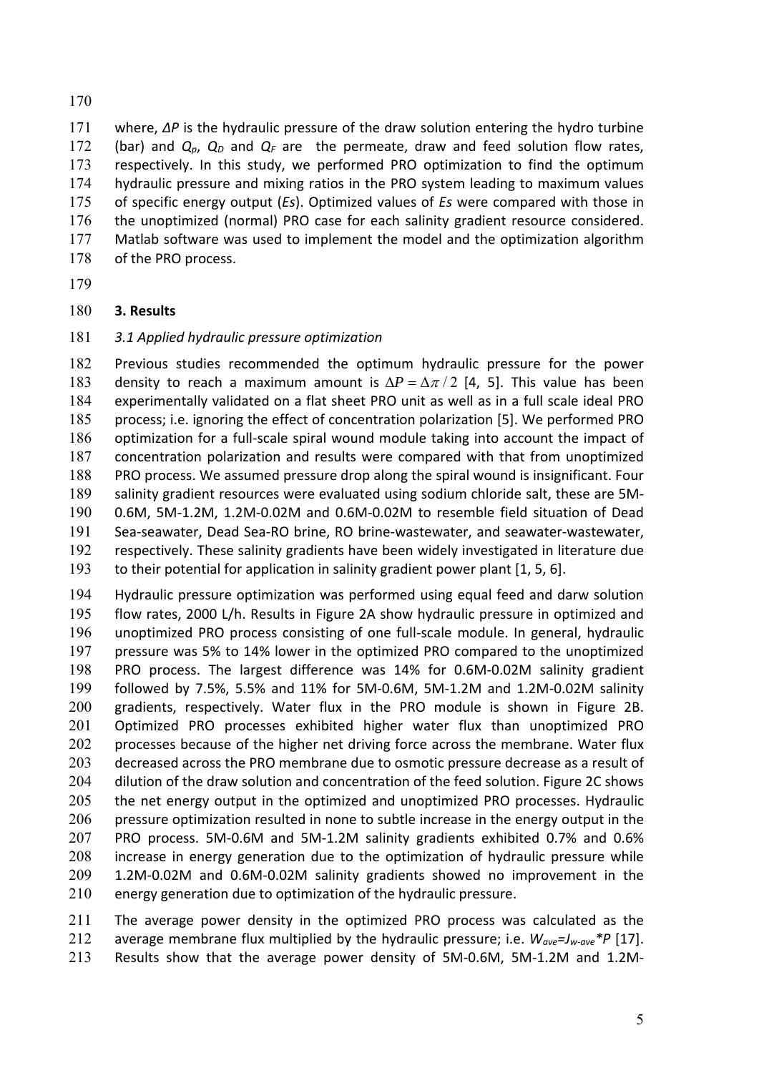where, *∆P* is the hydraulic pressure of the draw solution entering the hydro turbine 172 (bar) and  $Q_p$ ,  $Q_p$  and  $Q_f$  are the permeate, draw and feed solution flow rates, respectively. In this study, we performed PRO optimization to find the optimum hydraulic pressure and mixing ratios in the PRO system leading to maximum values of specific energy output (*Es*). Optimized values of *Es* were compared with those in 176 the unoptimized (normal) PRO case for each salinity gradient resource considered. Matlab software was used to implement the model and the optimization algorithm 178 of the PRO process.

# **3. Results**

# *3.1 Applied hydraulic pressure optimization*

Previous studies recommended the optimum hydraulic pressure for the power 183 density to reach a maximum amount is  $\Delta P = \Delta \pi / 2$  [4, 5]. This value has been experimentally validated on a flat sheet PRO unit as well as in a full scale ideal PRO process; i.e. ignoring the effect of concentration polarization [5]. We performed PRO 186 optimization for a full-scale spiral wound module taking into account the impact of concentration polarization and results were compared with that from unoptimized PRO process. We assumed pressure drop along the spiral wound is insignificant. Four salinity gradient resources were evaluated using sodium chloride salt, these are 5M‐ 0.6M, 5M‐1.2M, 1.2M‐0.02M and 0.6M‐0.02M to resemble field situation of Dead Sea‐seawater, Dead Sea‐RO brine, RO brine‐wastewater, and seawater‐wastewater, respectively. These salinity gradients have been widely investigated in literature due to their potential for application in salinity gradient power plant [1, 5, 6].

Hydraulic pressure optimization was performed using equal feed and darw solution flow rates, 2000 L/h. Results in Figure 2A show hydraulic pressure in optimized and 196 unoptimized PRO process consisting of one full-scale module. In general, hydraulic pressure was 5% to 14% lower in the optimized PRO compared to the unoptimized PRO process. The largest difference was 14% for 0.6M‐0.02M salinity gradient followed by 7.5%, 5.5% and 11% for 5M‐0.6M, 5M‐1.2M and 1.2M‐0.02M salinity gradients, respectively. Water flux in the PRO module is shown in Figure 2B. Optimized PRO processes exhibited higher water flux than unoptimized PRO 202 processes because of the higher net driving force across the membrane. Water flux decreased across the PRO membrane due to osmotic pressure decrease as a result of 204 dilution of the draw solution and concentration of the feed solution. Figure 2C shows 205 the net energy output in the optimized and unoptimized PRO processes. Hydraulic pressure optimization resulted in none to subtle increase in the energy output in the 207 PRO process. 5M-0.6M and 5M-1.2M salinity gradients exhibited 0.7% and 0.6% 208 increase in energy generation due to the optimization of hydraulic pressure while 1.2M‐0.02M and 0.6M‐0.02M salinity gradients showed no improvement in the energy generation due to optimization of the hydraulic pressure.

The average power density in the optimized PRO process was calculated as the average membrane flux multiplied by the hydraulic pressure; i.e. *Wave=Jw‐ave\*P* [17]. Results show that the average power density of 5M‐0.6M, 5M‐1.2M and 1.2M‐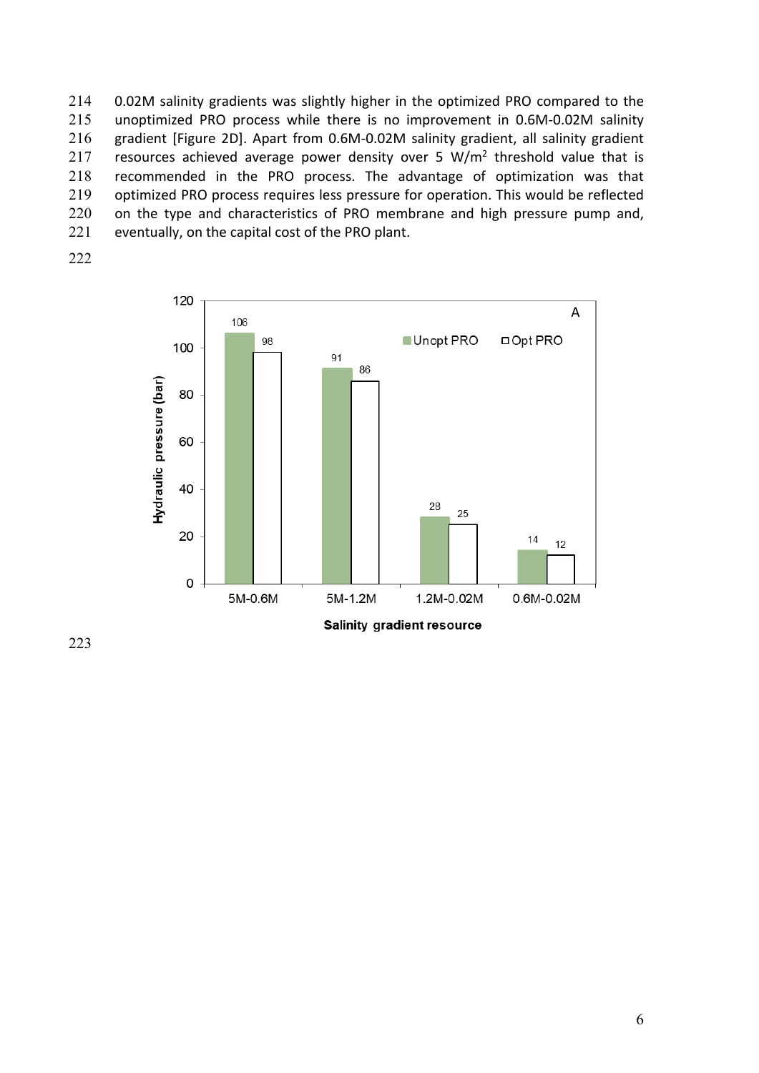214 0.02M salinity gradients was slightly higher in the optimized PRO compared to the 215 unoptimized PRO process while there is no improvement in 0.6M‐0.02M salinity 216 gradient [Figure 2D]. Apart from 0.6M-0.02M salinity gradient, all salinity gradient 217 resources achieved average power density over 5  $W/m<sup>2</sup>$  threshold value that is 218 recommended in the PRO process. The advantage of optimization was that 219 optimized PRO process requires less pressure for operation. This would be reflected 220 on the type and characteristics of PRO membrane and high pressure pump and, 221 eventually, on the capital cost of the PRO plant.



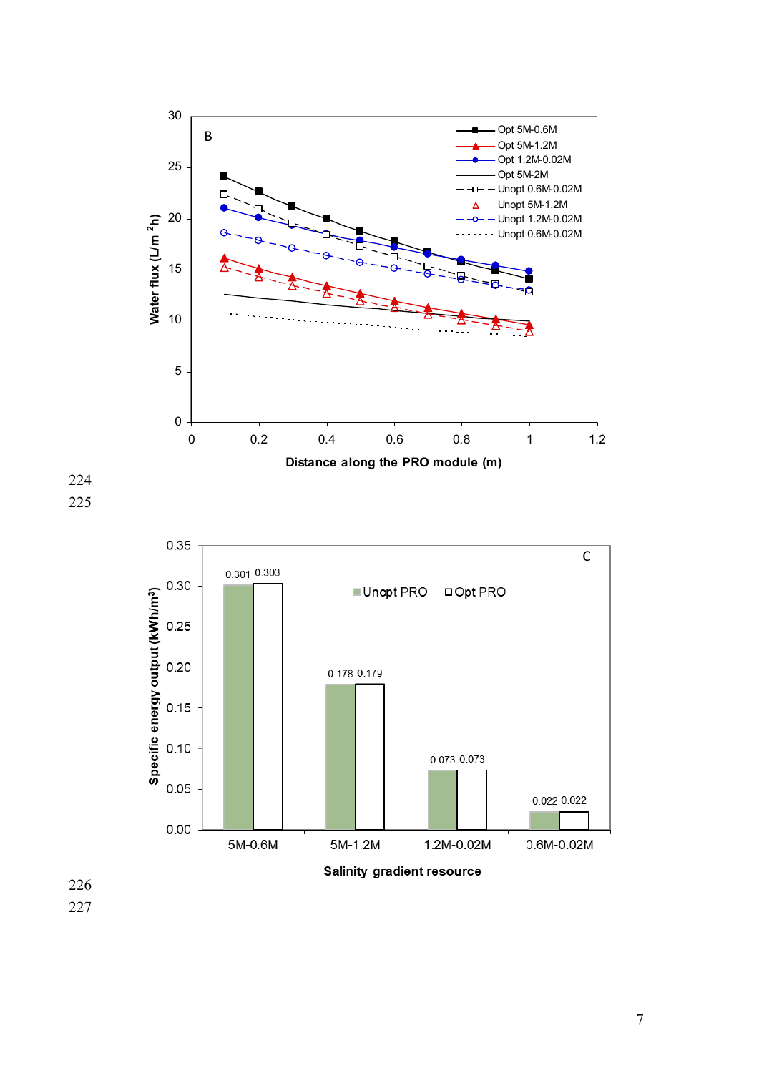



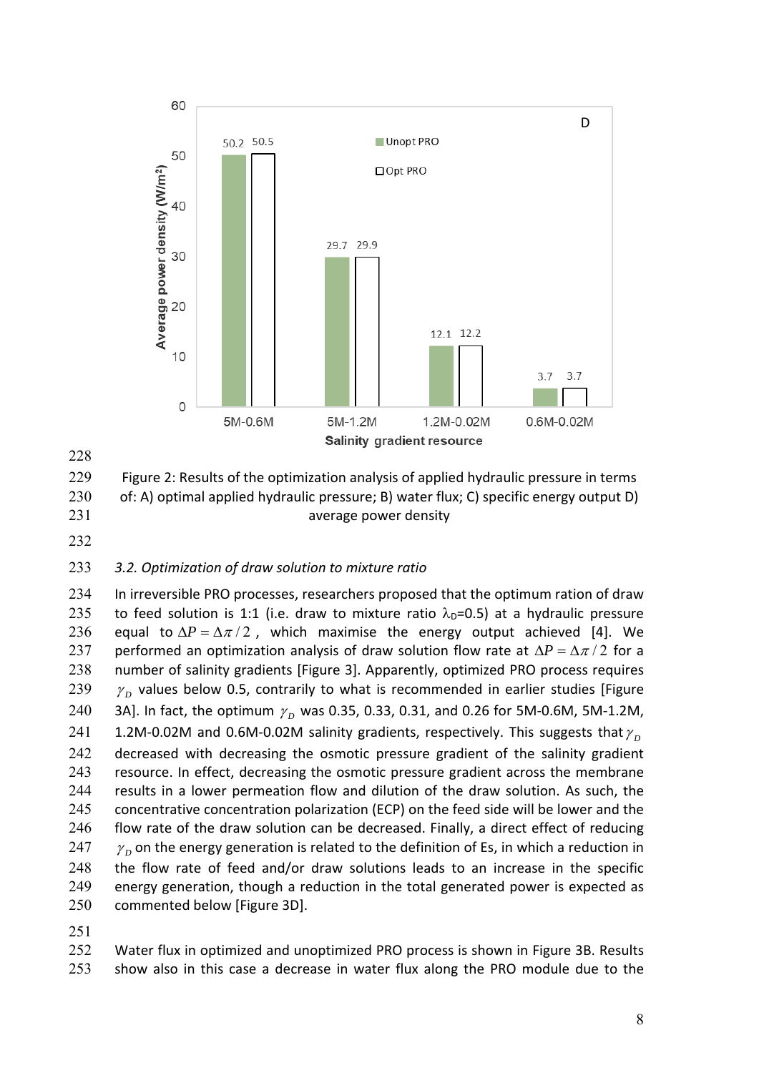



229 Figure 2: Results of the optimization analysis of applied hydraulic pressure in terms 230 of: A) optimal applied hydraulic pressure; B) water flux; C) specific energy output D) 231 average power density

## 233 *3.2. Optimization of draw solution to mixture ratio*

234 In irreversible PRO processes, researchers proposed that the optimum ration of draw 235 to feed solution is 1:1 (i.e. draw to mixture ratio  $\lambda_{D}=0.5$ ) at a hydraulic pressure 236 equal to  $\Delta P = \Delta \pi / 2$ , which maximise the energy output achieved [4]. We 237 performed an optimization analysis of draw solution flow rate at  $\Delta P = \Delta \pi / 2$  for a 238 number of salinity gradients [Figure 3]. Apparently, optimized PRO process requires 239  $\gamma$ <sub>D</sub> values below 0.5, contrarily to what is recommended in earlier studies [Figure 240 3A]. In fact, the optimum  $\gamma_p$  was 0.35, 0.33, 0.31, and 0.26 for 5M-0.6M, 5M-1.2M, 241 1.2M-0.02M and 0.6M-0.02M salinity gradients, respectively. This suggests that  $\gamma_{\rm n}$ 242 decreased with decreasing the osmotic pressure gradient of the salinity gradient 243 resource. In effect, decreasing the osmotic pressure gradient across the membrane 244 results in a lower permeation flow and dilution of the draw solution. As such, the 245 concentrative concentration polarization (ECP) on the feed side will be lower and the 246 flow rate of the draw solution can be decreased. Finally, a direct effect of reducing 247  $\gamma$ <sub>n</sub> on the energy generation is related to the definition of Es, in which a reduction in 248 the flow rate of feed and/or draw solutions leads to an increase in the specific 249 energy generation, though a reduction in the total generated power is expected as 250 commented below [Figure 3D].

251

252 Water flux in optimized and unoptimized PRO process is shown in Figure 3B. Results 253 show also in this case a decrease in water flux along the PRO module due to the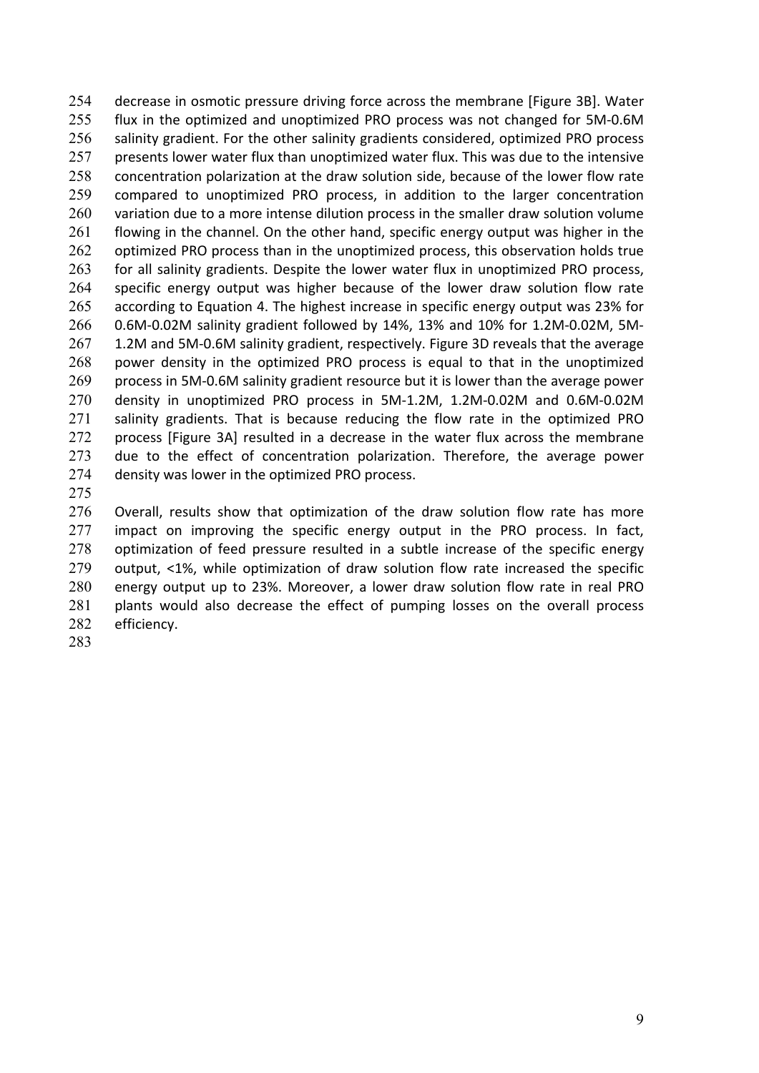254 decrease in osmotic pressure driving force across the membrane [Figure 3B]. Water 255 flux in the optimized and unoptimized PRO process was not changed for 5M‐0.6M 256 salinity gradient. For the other salinity gradients considered, optimized PRO process 257 presents lower water flux than unoptimized water flux. This was due to the intensive 258 concentration polarization at the draw solution side, because of the lower flow rate 259 compared to unoptimized PRO process, in addition to the larger concentration 260 variation due to a more intense dilution process in the smaller draw solution volume 261 flowing in the channel. On the other hand, specific energy output was higher in the 262 optimized PRO process than in the unoptimized process, this observation holds true 263 for all salinity gradients. Despite the lower water flux in unoptimized PRO process, 264 specific energy output was higher because of the lower draw solution flow rate 265 according to Equation 4. The highest increase in specific energy output was 23% for 266 0.6M‐0.02M salinity gradient followed by 14%, 13% and 10% for 1.2M‐0.02M, 5M‐ 267 1.2M and 5M-0.6M salinity gradient, respectively. Figure 3D reveals that the average 268 power density in the optimized PRO process is equal to that in the unoptimized 269 process in 5M-0.6M salinity gradient resource but it is lower than the average power 270 density in unoptimized PRO process in 5M‐1.2M, 1.2M‐0.02M and 0.6M‐0.02M 271 salinity gradients. That is because reducing the flow rate in the optimized PRO 272 process [Figure 3A] resulted in a decrease in the water flux across the membrane 273 due to the effect of concentration polarization. Therefore, the average power 274 density was lower in the optimized PRO process.

275

276 Overall, results show that optimization of the draw solution flow rate has more 277 impact on improving the specific energy output in the PRO process. In fact, 278 optimization of feed pressure resulted in a subtle increase of the specific energy 279 output, <1%, while optimization of draw solution flow rate increased the specific 280 energy output up to 23%. Moreover, a lower draw solution flow rate in real PRO 281 plants would also decrease the effect of pumping losses on the overall process 282 efficiency.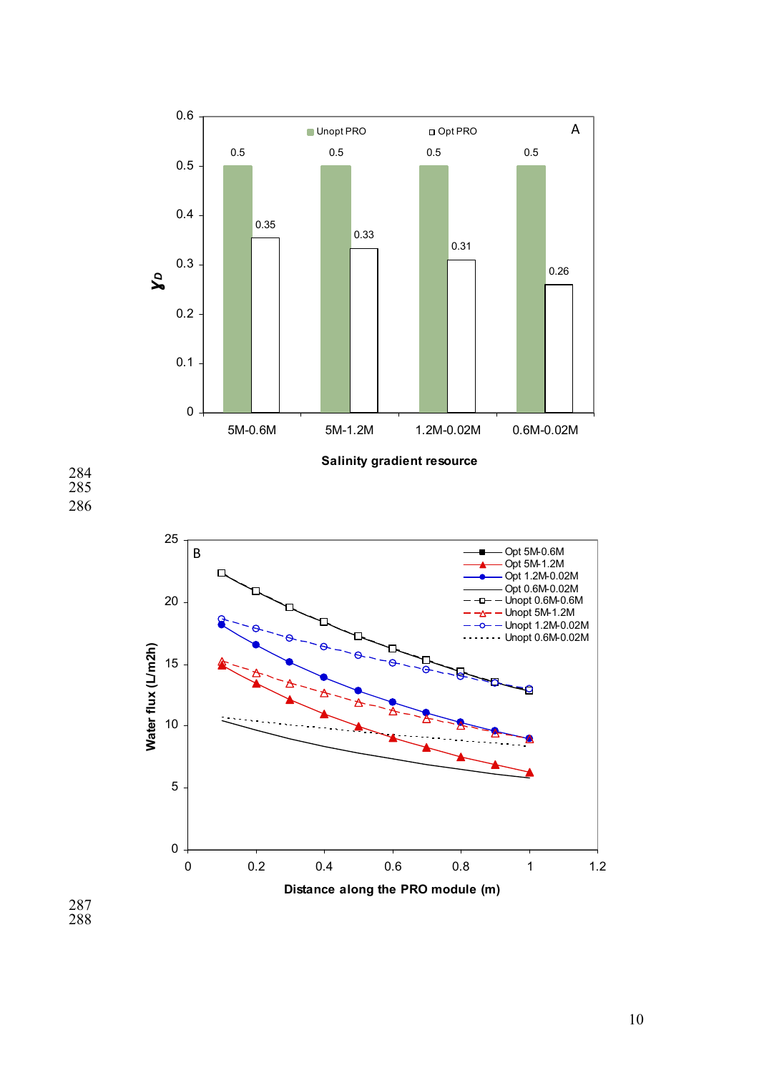



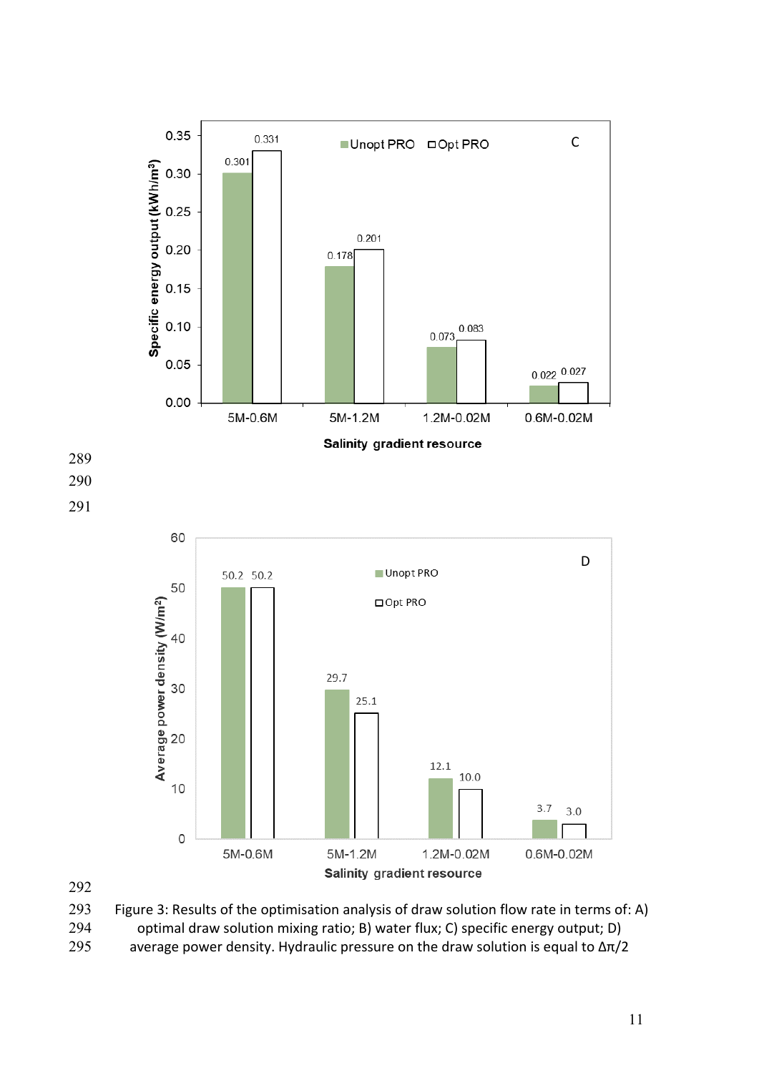

Figure 3: Results of the optimisation analysis of draw solution flow rate in terms of: A) optimal draw solution mixing ratio; B) water flux; C) specific energy output; D)

295 average power density. Hydraulic pressure on the draw solution is equal to  $\Delta \pi/2$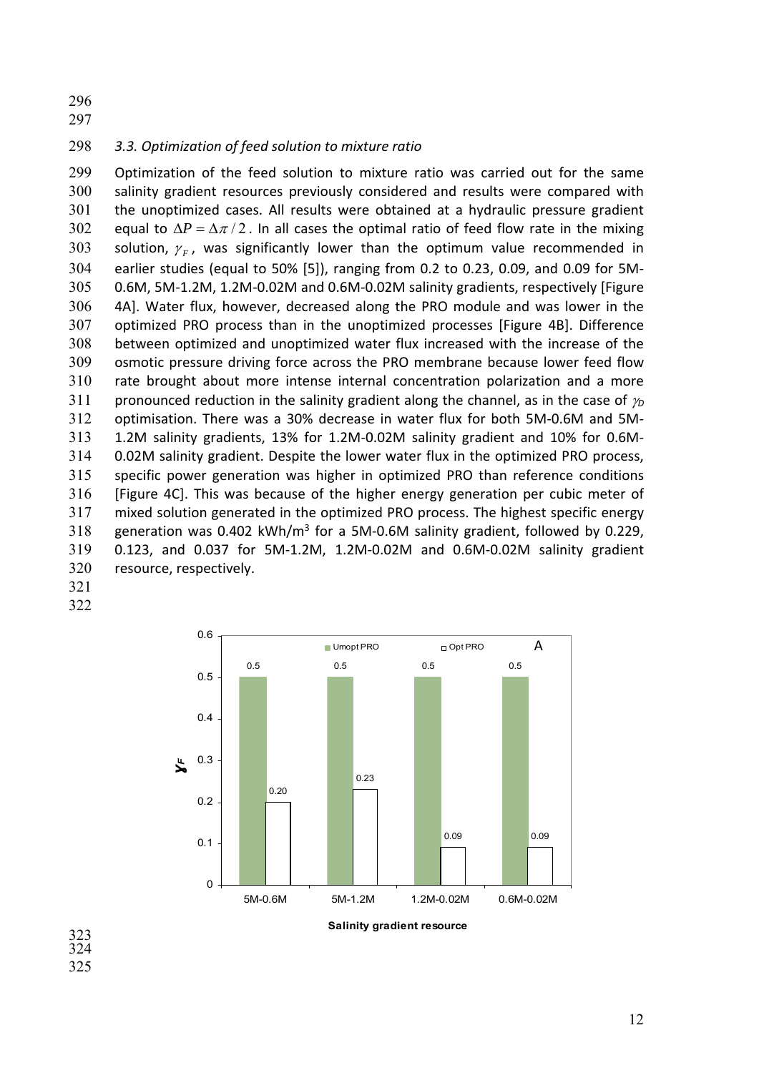298 *3.3. Optimization of feed solution to mixture ratio* 

299 Optimization of the feed solution to mixture ratio was carried out for the same salinity gradient resources previously considered and results were compared with 301 the unoptimized cases. All results were obtained at a hydraulic pressure gradient 302 equal to  $\Delta P = \Delta \pi / 2$ . In all cases the optimal ratio of feed flow rate in the mixing 303 solution,  $\gamma_F$ , was significantly lower than the optimum value recommended in earlier studies (equal to 50% [5]), ranging from 0.2 to 0.23, 0.09, and 0.09 for 5M‐ 0.6M, 5M‐1.2M, 1.2M‐0.02M and 0.6M‐0.02M salinity gradients, respectively [Figure 4A]. Water flux, however, decreased along the PRO module and was lower in the optimized PRO process than in the unoptimized processes [Figure 4B]. Difference between optimized and unoptimized water flux increased with the increase of the osmotic pressure driving force across the PRO membrane because lower feed flow rate brought about more intense internal concentration polarization and a more 311 pronounced reduction in the salinity gradient along the channel, as in the case of  $\nu$ optimisation. There was a 30% decrease in water flux for both 5M‐0.6M and 5M‐ 313 1.2M salinity gradients, 13% for 1.2M-0.02M salinity gradient and 10% for 0.6M-0.02M salinity gradient. Despite the lower water flux in the optimized PRO process, specific power generation was higher in optimized PRO than reference conditions [Figure 4C]. This was because of the higher energy generation per cubic meter of mixed solution generated in the optimized PRO process. The highest specific energy 318 generation was  $0.402$  kWh/m<sup>3</sup> for a 5M-0.6M salinity gradient, followed by 0.229, 0.123, and 0.037 for 5M‐1.2M, 1.2M‐0.02M and 0.6M‐0.02M salinity gradient resource, respectively.

- 321
- 322



323 324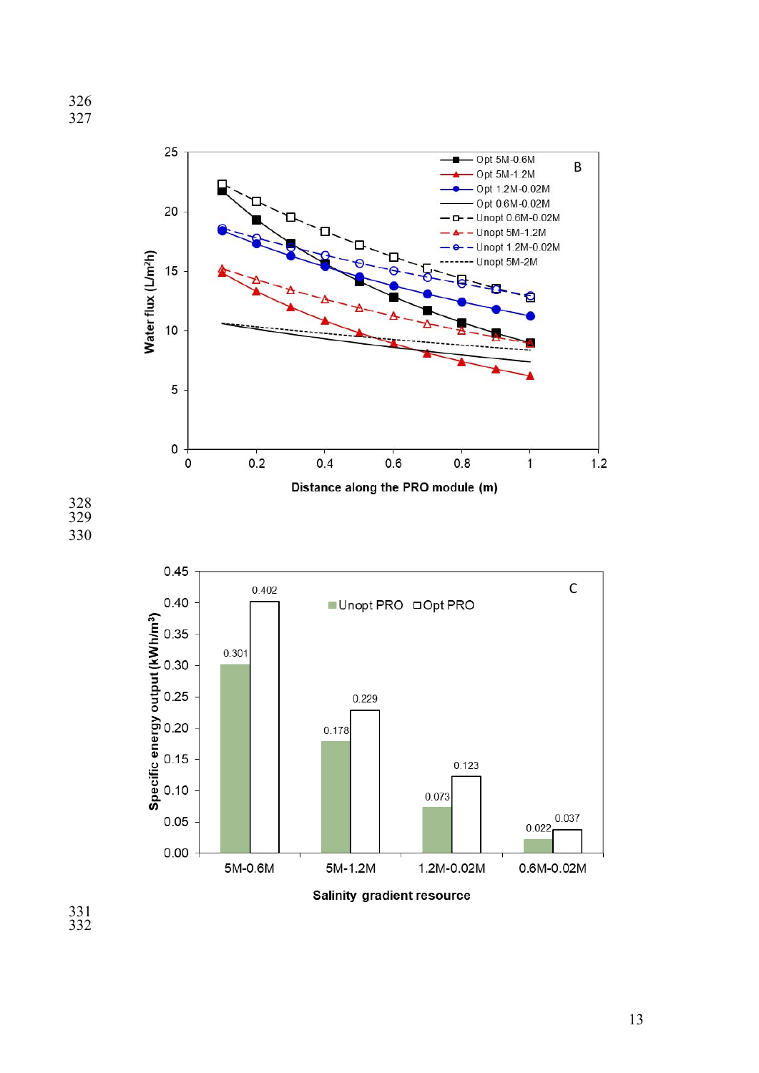



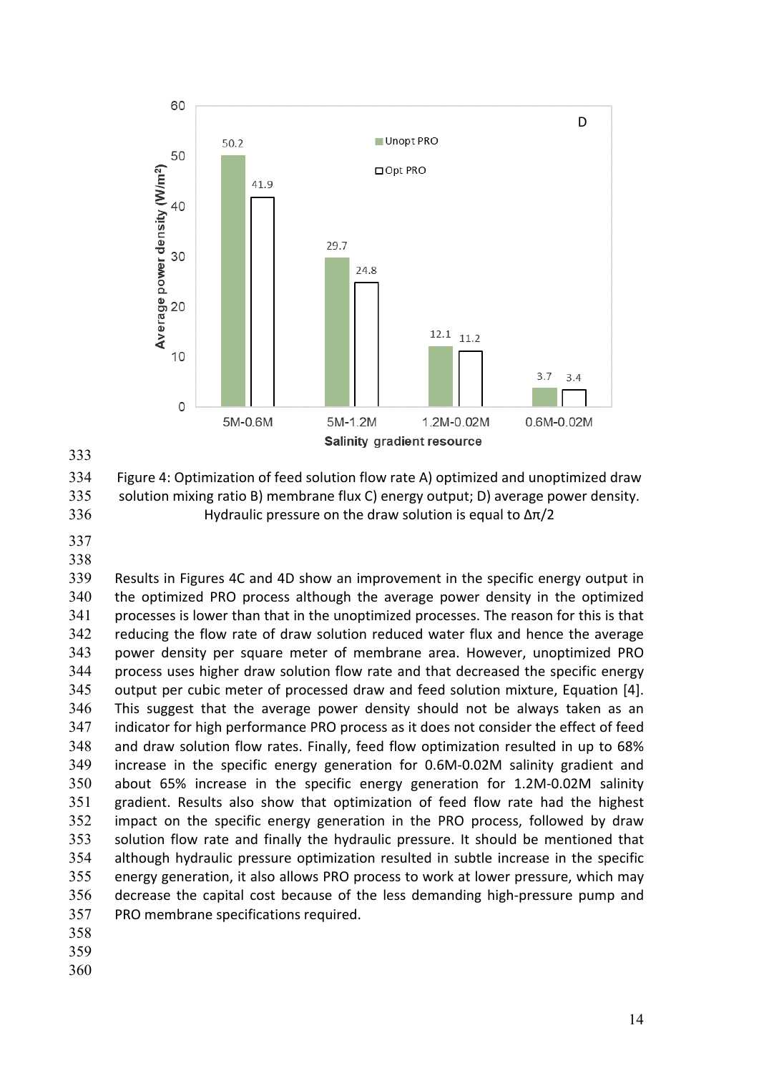

Figure 4: Optimization of feed solution flow rate A) optimized and unoptimized draw solution mixing ratio B) membrane flux C) energy output; D) average power density. 336 Hydraulic pressure on the draw solution is equal to  $\Delta \pi/2$ 

 Results in Figures 4C and 4D show an improvement in the specific energy output in the optimized PRO process although the average power density in the optimized processes is lower than that in the unoptimized processes. The reason for this is that reducing the flow rate of draw solution reduced water flux and hence the average power density per square meter of membrane area. However, unoptimized PRO process uses higher draw solution flow rate and that decreased the specific energy output per cubic meter of processed draw and feed solution mixture, Equation [4]. This suggest that the average power density should not be always taken as an indicator for high performance PRO process as it does not consider the effect of feed and draw solution flow rates. Finally, feed flow optimization resulted in up to 68% increase in the specific energy generation for 0.6M‐0.02M salinity gradient and about 65% increase in the specific energy generation for 1.2M‐0.02M salinity gradient. Results also show that optimization of feed flow rate had the highest impact on the specific energy generation in the PRO process, followed by draw solution flow rate and finally the hydraulic pressure. It should be mentioned that although hydraulic pressure optimization resulted in subtle increase in the specific energy generation, it also allows PRO process to work at lower pressure, which may decrease the capital cost because of the less demanding high‐pressure pump and PRO membrane specifications required.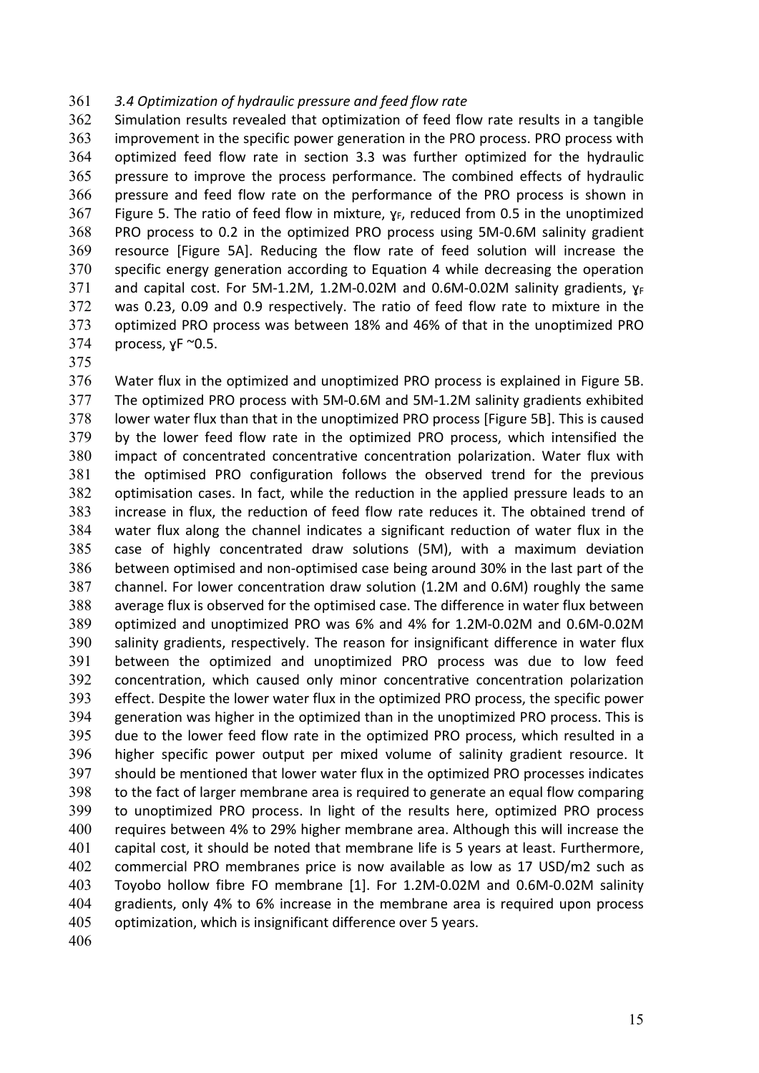#### *3.4 Optimization of hydraulic pressure and feed flow rate*

Simulation results revealed that optimization of feed flow rate results in a tangible improvement in the specific power generation in the PRO process. PRO process with optimized feed flow rate in section 3.3 was further optimized for the hydraulic pressure to improve the process performance. The combined effects of hydraulic pressure and feed flow rate on the performance of the PRO process is shown in Figure 5. The ratio of feed flow in mixture,  $\gamma_F$ , reduced from 0.5 in the unoptimized 368 PRO process to 0.2 in the optimized PRO process using 5M-0.6M salinity gradient resource [Figure 5A]. Reducing the flow rate of feed solution will increase the specific energy generation according to Equation 4 while decreasing the operation and capital cost. For 5M-1.2M, 1.2M-0.02M and 0.6M-0.02M salinity gradients,  $\gamma_F$ was 0.23, 0.09 and 0.9 respectively. The ratio of feed flow rate to mixture in the optimized PRO process was between 18% and 46% of that in the unoptimized PRO process, yF  $\sim$ 0.5.

Water flux in the optimized and unoptimized PRO process is explained in Figure 5B. The optimized PRO process with 5M‐0.6M and 5M‐1.2M salinity gradients exhibited lower water flux than that in the unoptimized PRO process [Figure 5B]. This is caused by the lower feed flow rate in the optimized PRO process, which intensified the impact of concentrated concentrative concentration polarization. Water flux with the optimised PRO configuration follows the observed trend for the previous optimisation cases. In fact, while the reduction in the applied pressure leads to an increase in flux, the reduction of feed flow rate reduces it. The obtained trend of water flux along the channel indicates a significant reduction of water flux in the case of highly concentrated draw solutions (5M), with a maximum deviation between optimised and non‐optimised case being around 30% in the last part of the channel. For lower concentration draw solution (1.2M and 0.6M) roughly the same average flux is observed for the optimised case. The difference in water flux between optimized and unoptimized PRO was 6% and 4% for 1.2M‐0.02M and 0.6M‐0.02M salinity gradients, respectively. The reason for insignificant difference in water flux between the optimized and unoptimized PRO process was due to low feed concentration, which caused only minor concentrative concentration polarization effect. Despite the lower water flux in the optimized PRO process, the specific power generation was higher in the optimized than in the unoptimized PRO process. This is due to the lower feed flow rate in the optimized PRO process, which resulted in a higher specific power output per mixed volume of salinity gradient resource. It should be mentioned that lower water flux in the optimized PRO processes indicates to the fact of larger membrane area is required to generate an equal flow comparing to unoptimized PRO process. In light of the results here, optimized PRO process requires between 4% to 29% higher membrane area. Although this will increase the capital cost, it should be noted that membrane life is 5 years at least. Furthermore, commercial PRO membranes price is now available as low as 17 USD/m2 such as Toyobo hollow fibre FO membrane [1]. For 1.2M‐0.02M and 0.6M‐0.02M salinity gradients, only 4% to 6% increase in the membrane area is required upon process optimization, which is insignificant difference over 5 years.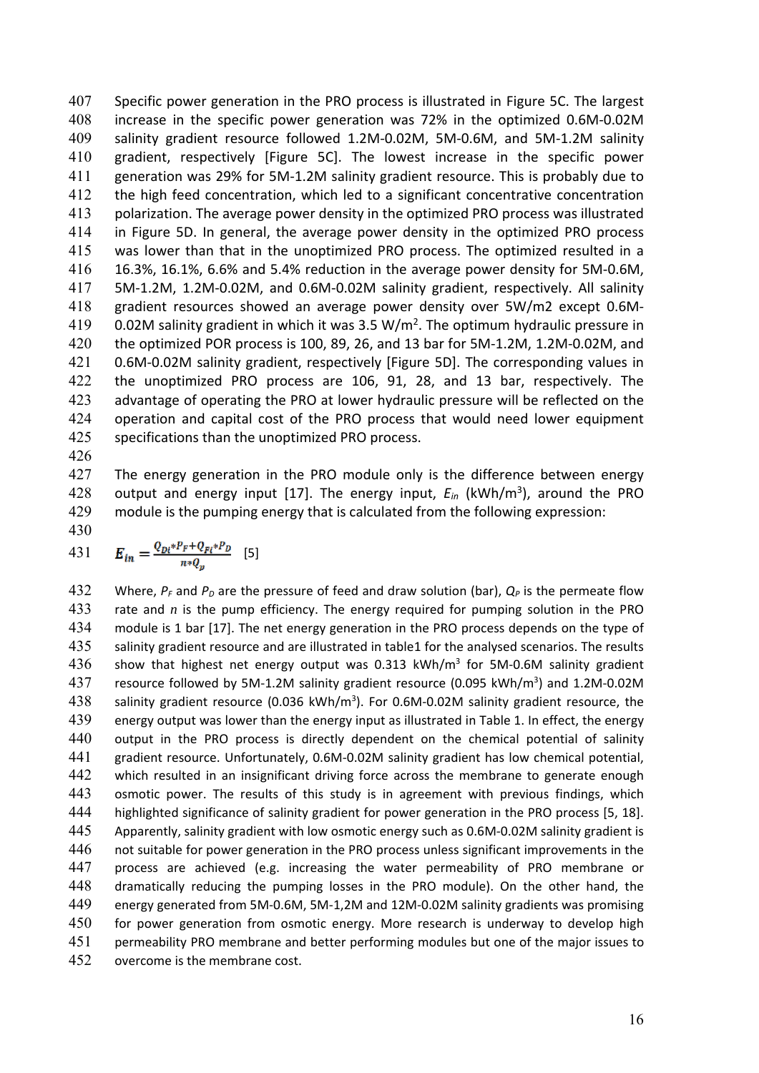Specific power generation in the PRO process is illustrated in Figure 5C. The largest increase in the specific power generation was 72% in the optimized 0.6M‐0.02M salinity gradient resource followed 1.2M‐0.02M, 5M‐0.6M, and 5M‐1.2M salinity gradient, respectively [Figure 5C]. The lowest increase in the specific power 411 generation was 29% for 5M-1.2M salinity gradient resource. This is probably due to the high feed concentration, which led to a significant concentrative concentration polarization. The average power density in the optimized PRO process was illustrated in Figure 5D. In general, the average power density in the optimized PRO process 415 was lower than that in the unoptimized PRO process. The optimized resulted in a 16.3%, 16.1%, 6.6% and 5.4% reduction in the average power density for 5M‐0.6M, 417 5M-1.2M, 1.2M-0.02M, and 0.6M-0.02M salinity gradient, respectively. All salinity gradient resources showed an average power density over 5W/m2 except 0.6M‐ 419 0.02M salinity gradient in which it was 3.5 W/m<sup>2</sup>. The optimum hydraulic pressure in the optimized POR process is 100, 89, 26, and 13 bar for 5M‐1.2M, 1.2M‐0.02M, and 421 0.6M-0.02M salinity gradient, respectively [Figure 5D]. The corresponding values in the unoptimized PRO process are 106, 91, 28, and 13 bar, respectively. The advantage of operating the PRO at lower hydraulic pressure will be reflected on the 424 operation and capital cost of the PRO process that would need lower equipment specifications than the unoptimized PRO process.

426

427 The energy generation in the PRO module only is the difference between energy 428 output and energy input [17]. The energy input,  $E_{in}$  (kWh/m<sup>3</sup>), around the PRO

429 module is the pumping energy that is calculated from the following expression:

430

431 
$$
E_{in} = \frac{Q_{Di} * P_F + Q_{F\ell} * P_D}{n * Q_p}
$$
 [5]

432 Where,  $P_F$  and  $P_D$  are the pressure of feed and draw solution (bar),  $Q_P$  is the permeate flow 433 rate and  $n$  is the pump efficiency. The energy required for pumping solution in the PRO 434 module is 1 bar [17]. The net energy generation in the PRO process depends on the type of 435 salinity gradient resource and are illustrated in table1 for the analysed scenarios. The results 436 show that highest net energy output was 0.313  $kWh/m^3$  for 5M-0.6M salinity gradient 437 resource followed by 5M-1.2M salinity gradient resource (0.095 kWh/m<sup>3</sup>) and 1.2M-0.02M 438 salinity gradient resource (0.036 kWh/m<sup>3</sup>). For 0.6M-0.02M salinity gradient resource, the 439 energy output was lower than the energy input as illustrated in Table 1. In effect, the energy 440 output in the PRO process is directly dependent on the chemical potential of salinity 441 gradient resource. Unfortunately, 0.6M-0.02M salinity gradient has low chemical potential, 442 which resulted in an insignificant driving force across the membrane to generate enough 443 osmotic power. The results of this study is in agreement with previous findings, which 444 highlighted significance of salinity gradient for power generation in the PRO process [5, 18]. 445 Apparently, salinity gradient with low osmotic energy such as 0.6M-0.02M salinity gradient is 446 not suitable for power generation in the PRO process unless significant improvements in the 447 process are achieved (e.g. increasing the water permeability of PRO membrane or 448 dramatically reducing the pumping losses in the PRO module). On the other hand, the 449 energy generated from 5M‐0.6M, 5M‐1,2M and 12M‐0.02M salinity gradients was promising 450 for power generation from osmotic energy. More research is underway to develop high 451 permeability PRO membrane and better performing modules but one of the major issues to 452 overcome is the membrane cost.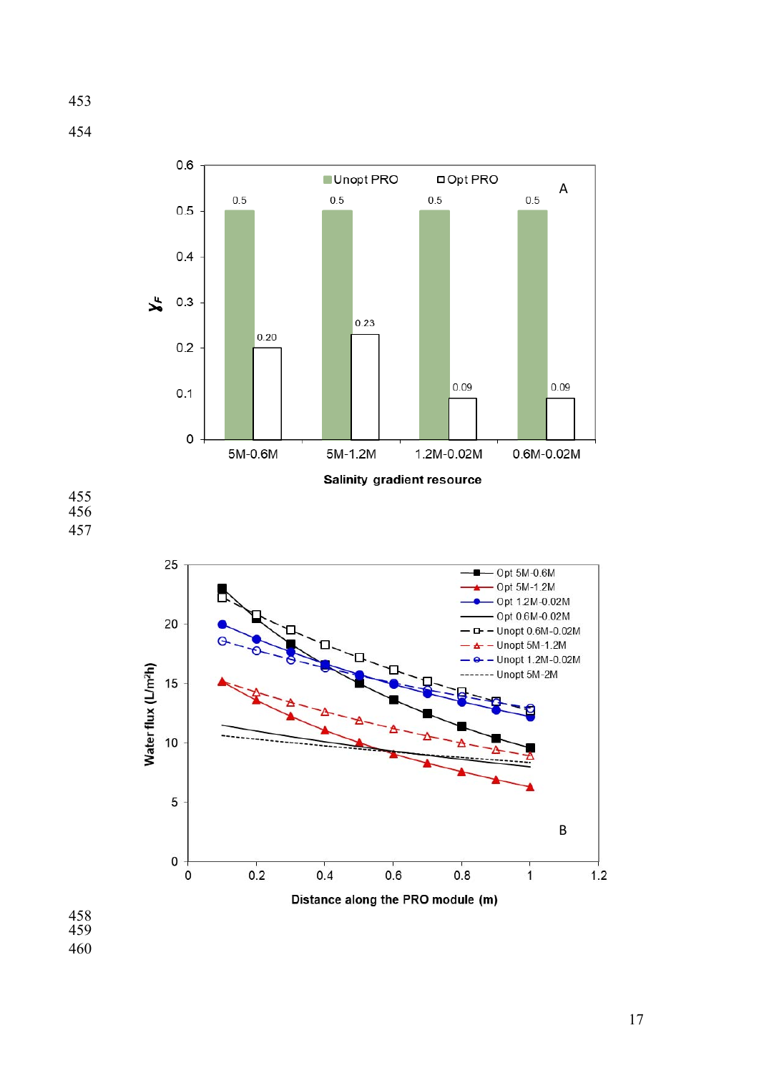





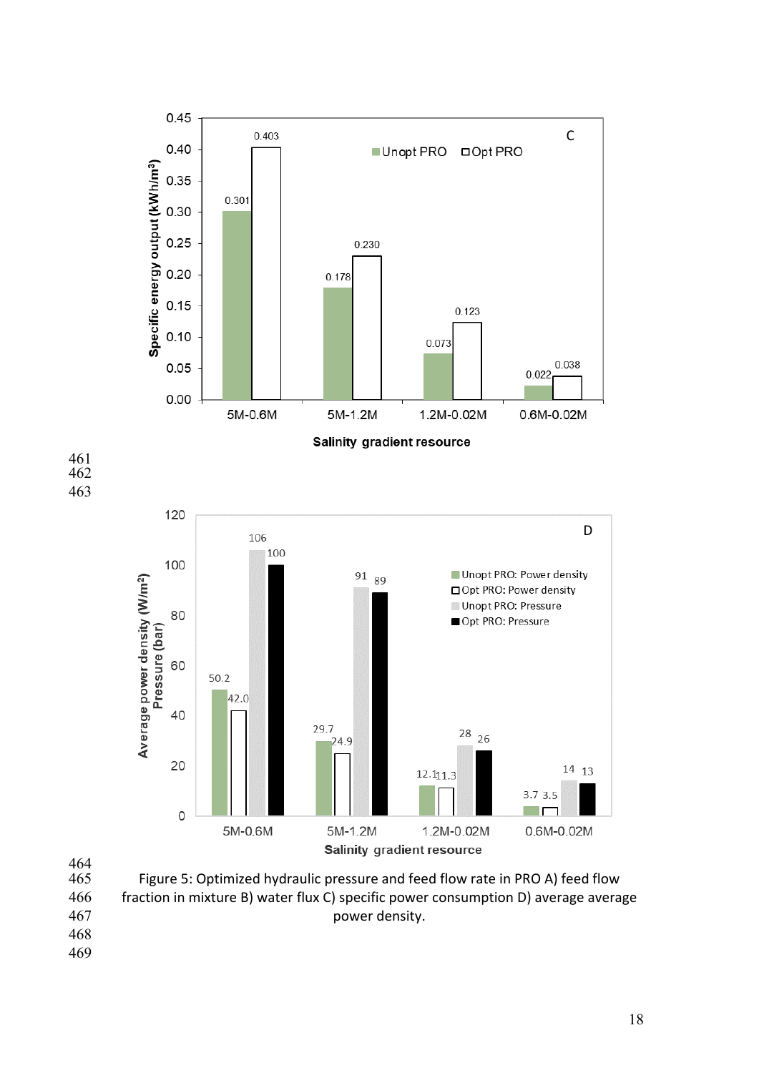



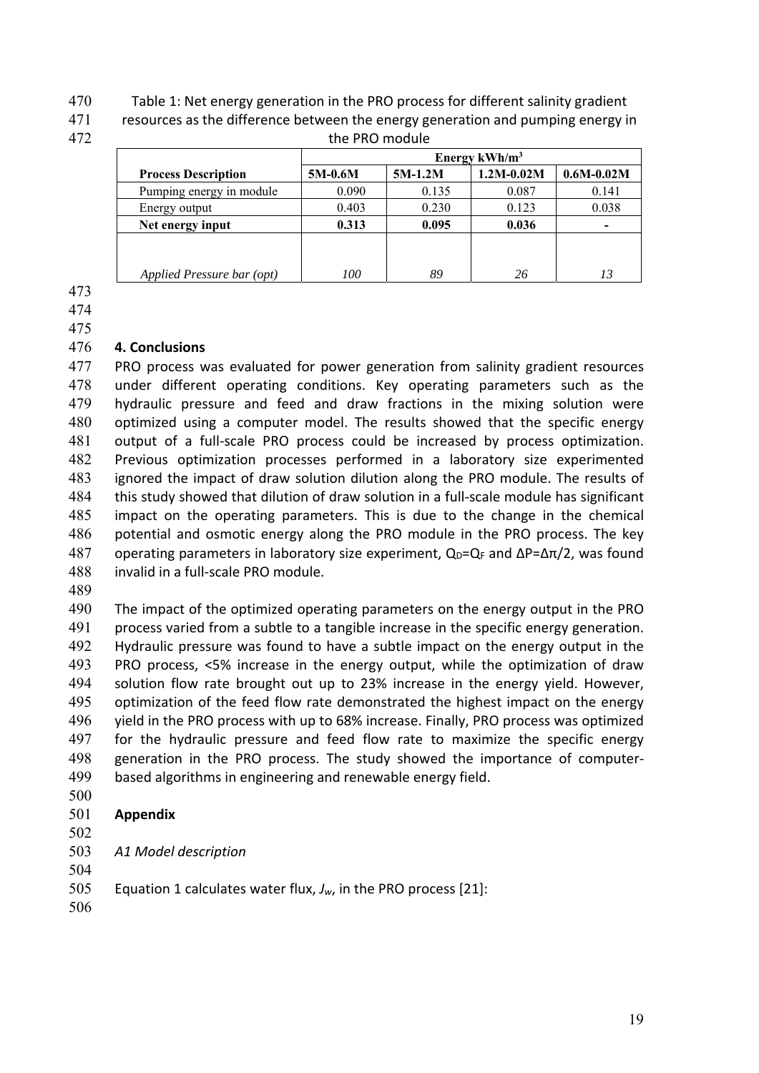Table 1: Net energy generation in the PRO process for different salinity gradient

resources as the difference between the energy generation and pumping energy in

| 472 | the PRO module             |           |           |                |                |  |
|-----|----------------------------|-----------|-----------|----------------|----------------|--|
|     |                            |           |           |                |                |  |
|     | <b>Process Description</b> | $5M-0.6M$ | $5M-1.2M$ | $1.2M - 0.02M$ | $0.6M - 0.02M$ |  |
|     | Pumping energy in module   | 0.090     | 0.135     | 0.087          | 0.141          |  |
|     | Energy output              | 0.403     | 0.230     | 0.123          | 0.038          |  |
|     | Net energy input           | 0.313     | 0.095     | 0.036          |                |  |
|     |                            |           |           |                |                |  |
|     |                            |           |           |                |                |  |
|     | Applied Pressure bar (opt) | 100       | 89        | 26             | 13             |  |

## **4. Conclusions**

477 PRO process was evaluated for power generation from salinity gradient resources under different operating conditions. Key operating parameters such as the hydraulic pressure and feed and draw fractions in the mixing solution were 480 optimized using a computer model. The results showed that the specific energy 481 output of a full-scale PRO process could be increased by process optimization. Previous optimization processes performed in a laboratory size experimented ignored the impact of draw solution dilution along the PRO module. The results of 484 this study showed that dilution of draw solution in a full-scale module has significant impact on the operating parameters. This is due to the change in the chemical 486 potential and osmotic energy along the PRO module in the PRO process. The key 487 operating parameters in laboratory size experiment,  $Q_D = Q_F$  and  $\Delta P = \Delta \pi/2$ , was found invalid in a full‐scale PRO module.

The impact of the optimized operating parameters on the energy output in the PRO process varied from a subtle to a tangible increase in the specific energy generation. Hydraulic pressure was found to have a subtle impact on the energy output in the PRO process, <5% increase in the energy output, while the optimization of draw 494 solution flow rate brought out up to 23% increase in the energy yield. However, 495 optimization of the feed flow rate demonstrated the highest impact on the energy yield in the PRO process with up to 68% increase. Finally, PRO process was optimized 497 for the hydraulic pressure and feed flow rate to maximize the specific energy 498 generation in the PRO process. The study showed the importance of computer-based algorithms in engineering and renewable energy field.

- 
- **Appendix**
- 
- *A1 Model description*
- Equation 1 calculates water flux, *Jw*, in the PRO process [21]:
-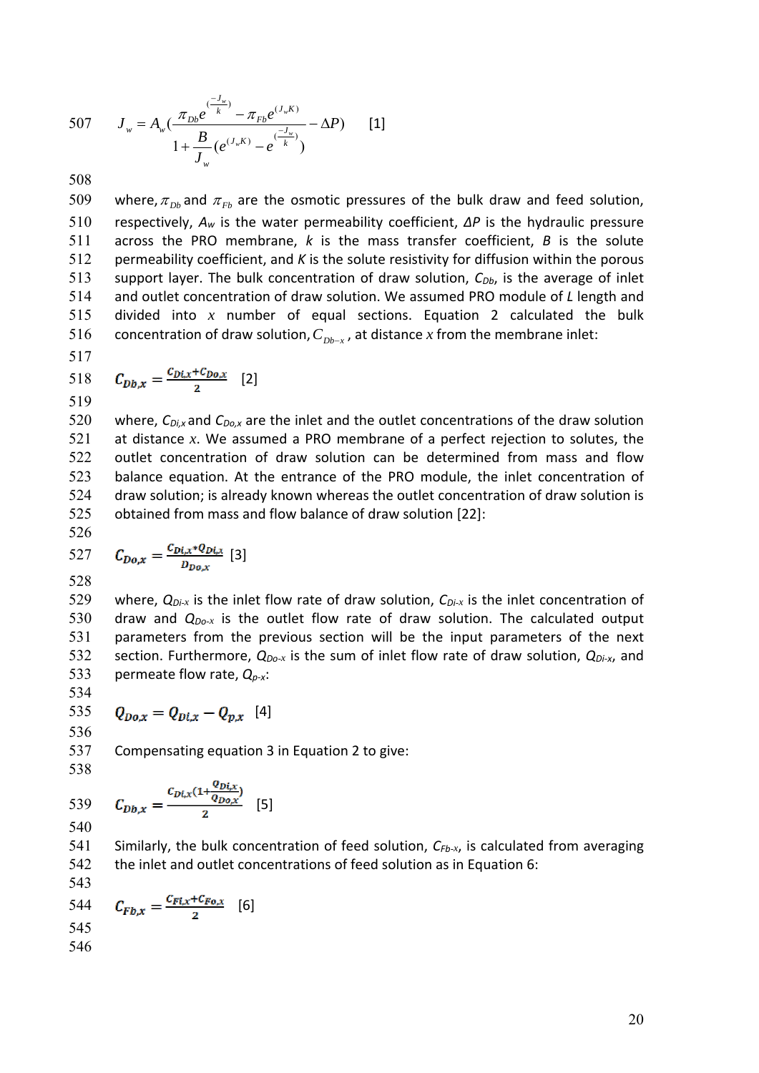507 
$$
J_{w} = A_{w} \left( \frac{\pi_{Db} e^{(\frac{-J_{w}}{k})} - \pi_{Fb} e^{(J_{w} K)}}{1 + \frac{B}{J_{w}} (e^{(J_{w} K)} - e^{(\frac{-J_{w}}{k})})} - \Delta P \right)
$$
 [1]

509 where,  $\pi_{Db}$  and  $\pi_{Fb}$  are the osmotic pressures of the bulk draw and feed solution, respectively, *Aw* is the water permeability coefficient, *∆P* is the hydraulic pressure across the PRO membrane, *k* is the mass transfer coefficient, *B*  is the solute permeability coefficient, and *K* is the solute resistivity for diffusion within the porous 513 support layer. The bulk concentration of draw solution,  $C_{Db}$ , is the average of inlet and outlet concentration of draw solution. We assumed PRO module of *L* length and divided into *x* number of equal sections. Equation 2 calculated the bulk 516 concentration of draw solution,  $C_{Db-x}$ , at distance *x* from the membrane inlet:

517

518 
$$
C_{Db,x} = \frac{C_{Di,x} + C_{Do,x}}{2}
$$
 [2]

520 where,  $C_{Di,x}$  and  $C_{Do,x}$  are the inlet and the outlet concentrations of the draw solution at distance *x*. We assumed a PRO membrane of a perfect rejection to solutes, the outlet concentration of draw solution can be determined from mass and flow balance equation. At the entrance of the PRO module, the inlet concentration of draw solution; is already known whereas the outlet concentration of draw solution is obtained from mass and flow balance of draw solution [22]:

526  
527 
$$
C_{Do,x} = \frac{C_{Di,x}*Q_{Di,x}}{D_{Do,x}}
$$
 [3]

528

529 where,  $Q_{Di-x}$  is the inlet flow rate of draw solution,  $C_{Di-x}$  is the inlet concentration of 530 draw and  $Q_{Do-x}$  is the outlet flow rate of draw solution. The calculated output 531 parameters from the previous section will be the input parameters of the next 532 section. Furthermore,  $Q_{Do-x}$  is the sum of inlet flow rate of draw solution,  $Q_{Di-x}$ , and 533 permeate flow rate, *Qp‐x*:

534

535 
$$
Q_{Do,x} = Q_{Di,x} - Q_{p,x}
$$
 [4]  
536

537 Compensating equation 3 in Equation 2 to give:

538

539 
$$
C_{Db,x} = \frac{C_{Di,x}(1 + \frac{Q_{Di,x}}{Q_{Do,x}})}{2}
$$
 [5]

540

541 Similarly, the bulk concentration of feed solution,  $C_{Fb-x}$ , is calculated from averaging 542 the inlet and outlet concentrations of feed solution as in Equation 6:

543  
544 
$$
C_{Fb,x} = \frac{c_{Fi,x} + c_{Fo,x}}{2}
$$
 [6]  
545  
546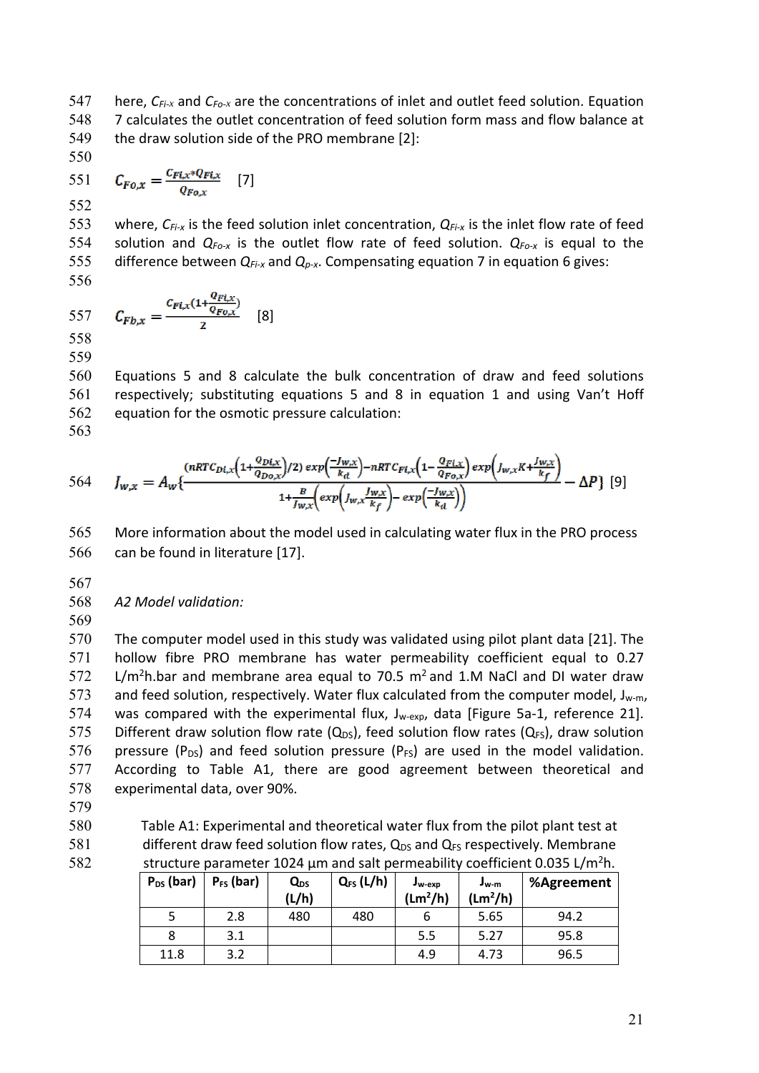547 here, *CFi‐x* and *CFo‐x* are the concentrations of inlet and outlet feed solution. Equation 548 7 calculates the outlet concentration of feed solution form mass and flow balance at 549 the draw solution side of the PRO membrane [2]:

550

551 
$$
C_{Fo,x} = \frac{C_{Fi,x} * Q_{Fi,x}}{Q_{Fo,x}}
$$
 [7]

552

553 where, C<sub>Fi-x</sub> is the feed solution inlet concentration, Q<sub>Fi-x</sub> is the inlet flow rate of feed 554 solution and  $Q_{Fo-x}$  is the outlet flow rate of feed solution.  $Q_{Fo-x}$  is equal to the 555 difference between  $Q_{F\downarrow x}$  and  $Q_{p-x}$ . Compensating equation 7 in equation 6 gives: 556

557 
$$
C_{Fb,x} = \frac{c_{Fi,x}(1 + \frac{Q_{Fi,x}}{Q_{F0,x}})}{2}
$$
 [8]

558 559

Equations 5 and 8 calculate the bulk concentration of draw and feed solutions respectively; substituting equations 5 and 8 in equation 1 and using Van't Hoff equation for the osmotic pressure calculation: 563

$$
564 \t J_{w,x} = A_w \{ \frac{(nRTC_{Di,x}(1+\frac{Q_{Di,x}}{Q_{Do,x}})/2) \exp\left(\frac{-J_{w,x}}{k_d}\right) - nRTC_{Fi,x}(1-\frac{Q_{Fi,x}}{Q_{Fo,x}}) \exp\left(J_{w,x}K + \frac{J_{w,x}}{k_f}\right)}{1+\frac{B}{J_{w,x}}\left(\exp\left(J_{w,x}\frac{J_{w,x}}{k_f}\right) - \exp\left(\frac{-J_{w,x}}{k_d}\right)\right)} - \Delta P \} \ [9]
$$

565 More information about the model used in calculating water flux in the PRO process 566 can be found in literature [17].

- 567
- 568 *A2 Model validation:*
- 569

570 The computer model used in this study was validated using pilot plant data [21]. The 571 hollow fibre PRO membrane has water permeability coefficient equal to 0.27  $572$  L/m<sup>2</sup>h.bar and membrane area equal to 70.5 m<sup>2</sup> and 1.M NaCl and DI water draw 573 and feed solution, respectively. Water flux calculated from the computer model, J<sub>w-m</sub>, 574 was compared with the experimental flux, J<sub>w-exp</sub>, data [Figure 5a-1, reference 21]. 575 Different draw solution flow rate  $(Q_{DS})$ , feed solution flow rates  $(Q_{FS})$ , draw solution 576 pressure  $(P_{DS})$  and feed solution pressure  $(P_{FS})$  are used in the model validation. 577 According to Table A1, there are good agreement between theoretical and 578 experimental data, over 90%.

- 579
- 580 Table A1: Experimental and theoretical water flux from the pilot plant test at 581 different draw feed solution flow rates,  $Q_{DS}$  and  $Q_{FS}$  respectively. Membrane 582 structure parameter 1024  $\mu$ m and salt permeability coefficient 0.035 L/m<sup>2</sup>h.

| $P_{DS}$ (bar) | $P_{FS}$ (bar) | Q <sub>DS</sub><br>(L/h) | $Q_{FS}$ (L/h) | $J_{W-EXP}$<br>(Lm <sup>2</sup> /h) | $J_{W}$ -m<br>(Lm <sup>2</sup> /h) | %Agreement |
|----------------|----------------|--------------------------|----------------|-------------------------------------|------------------------------------|------------|
|                | 2.8            | 480                      | 480            | O                                   | 5.65                               | 94.2       |
|                | 3.1            |                          |                | 5.5                                 | 5.27                               | 95.8       |
| 11.8           | 3.2            |                          |                | 4.9                                 | 4.73                               | 96.5       |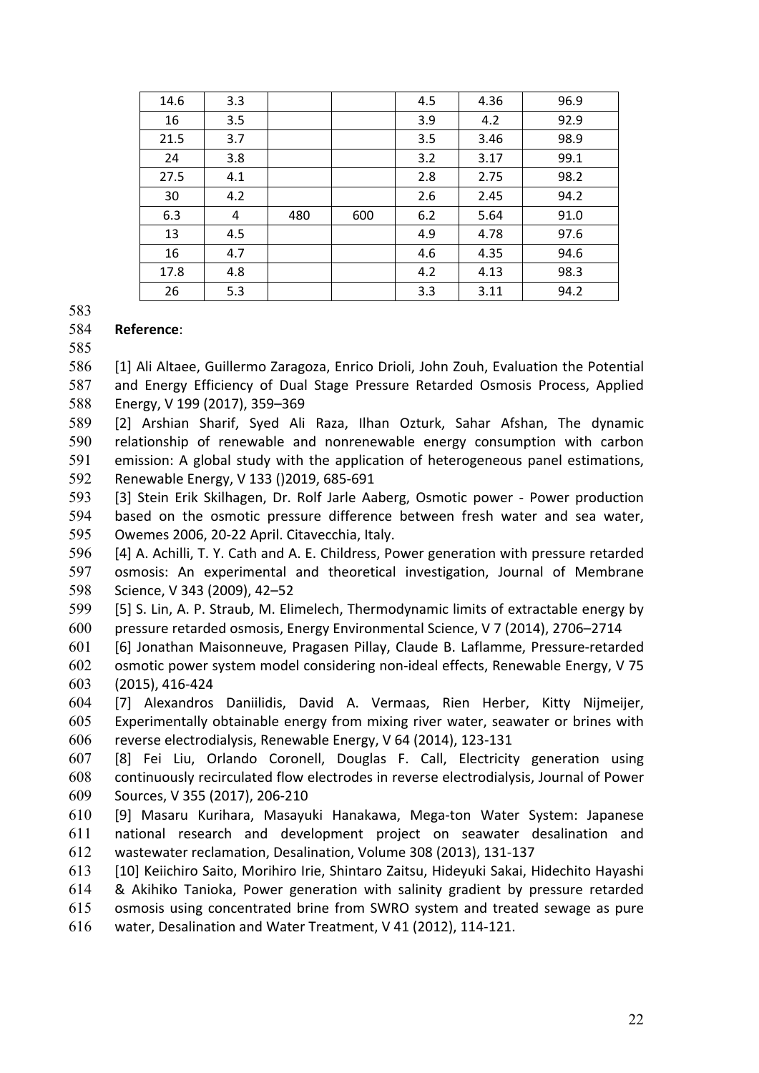| 14.6 | 3.3 |     |     | 4.5 | 4.36 | 96.9 |
|------|-----|-----|-----|-----|------|------|
| 16   | 3.5 |     |     | 3.9 | 4.2  | 92.9 |
| 21.5 | 3.7 |     |     | 3.5 | 3.46 | 98.9 |
| 24   | 3.8 |     |     | 3.2 | 3.17 | 99.1 |
| 27.5 | 4.1 |     |     | 2.8 | 2.75 | 98.2 |
| 30   | 4.2 |     |     | 2.6 | 2.45 | 94.2 |
| 6.3  | 4   | 480 | 600 | 6.2 | 5.64 | 91.0 |
| 13   | 4.5 |     |     | 4.9 | 4.78 | 97.6 |
| 16   | 4.7 |     |     | 4.6 | 4.35 | 94.6 |
| 17.8 | 4.8 |     |     | 4.2 | 4.13 | 98.3 |
| 26   | 5.3 |     |     | 3.3 | 3.11 | 94.2 |

## **Reference**:

[1] Ali Altaee, Guillermo Zaragoza, Enrico Drioli, John Zouh, Evaluation the Potential and Energy Efficiency of Dual Stage Pressure Retarded Osmosis Process, Applied Energy, V 199 (2017), 359–369

[2] Arshian Sharif, Syed Ali Raza, Ilhan Ozturk, Sahar Afshan, The dynamic relationship of renewable and nonrenewable energy consumption with carbon emission: A global study with the application of heterogeneous panel estimations, Renewable Energy, V 133 ()2019, 685‐691

[3] Stein Erik Skilhagen, Dr. Rolf Jarle Aaberg, Osmotic power ‐ Power production 594 based on the osmotic pressure difference between fresh water and sea water, Owemes 2006, 20‐22 April. Citavecchia, Italy.

[4] A. Achilli, T. Y. Cath and A. E. Childress, Power generation with pressure retarded osmosis: An experimental and theoretical investigation, Journal of Membrane Science, V 343 (2009), 42–52

[5] S. Lin, A. P. Straub, M. Elimelech, Thermodynamic limits of extractable energy by pressure retarded osmosis, Energy Environmental Science, V 7 (2014), 2706–2714

[6] Jonathan Maisonneuve, Pragasen Pillay, Claude B. Laflamme, Pressure‐retarded osmotic power system model considering non‐ideal effects, Renewable Energy, V 75 (2015), 416‐424

[7] Alexandros Daniilidis, David A. Vermaas, Rien Herber, Kitty Nijmeijer, Experimentally obtainable energy from mixing river water, seawater or brines with reverse electrodialysis, Renewable Energy, V 64 (2014), 123‐131

[8] Fei Liu, Orlando Coronell, Douglas F. Call, Electricity generation using continuously recirculated flow electrodes in reverse electrodialysis, Journal of Power Sources, V 355 (2017), 206‐210

[9] Masaru Kurihara, Masayuki Hanakawa, Mega‐ton Water System: Japanese national research and development project on seawater desalination and wastewater reclamation, Desalination, Volume 308 (2013), 131‐137

[10] Keiichiro Saito, Morihiro Irie, Shintaro Zaitsu, Hideyuki Sakai, Hidechito Hayashi & Akihiko Tanioka, Power generation with salinity gradient by pressure retarded osmosis using concentrated brine from SWRO system and treated sewage as pure water, Desalination and Water Treatment, V 41 (2012), 114‐121.